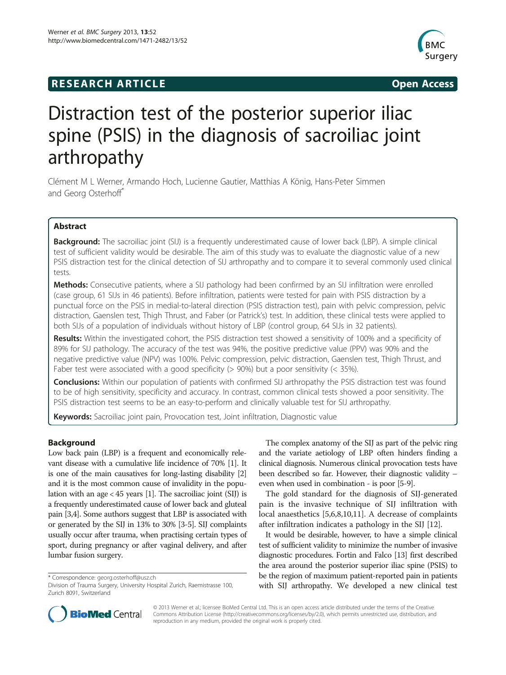## **RESEARCH ARTICLE Example 2014 The SEAR CH ACCESS**



# Distraction test of the posterior superior iliac spine (PSIS) in the diagnosis of sacroiliac joint arthropathy

Clément M L Werner, Armando Hoch, Lucienne Gautier, Matthias A König, Hans-Peter Simmen and Georg Osterhoff<sup>\*</sup>

## Abstract

Background: The sacroiliac joint (SIJ) is a frequently underestimated cause of lower back (LBP). A simple clinical test of sufficient validity would be desirable. The aim of this study was to evaluate the diagnostic value of a new PSIS distraction test for the clinical detection of SIJ arthropathy and to compare it to several commonly used clinical tests.

**Methods:** Consecutive patients, where a SIJ pathology had been confirmed by an SIJ infiltration were enrolled (case group, 61 SIJs in 46 patients). Before infiltration, patients were tested for pain with PSIS distraction by a punctual force on the PSIS in medial-to-lateral direction (PSIS distraction test), pain with pelvic compression, pelvic distraction, Gaenslen test, Thigh Thrust, and Faber (or Patrick's) test. In addition, these clinical tests were applied to both SIJs of a population of individuals without history of LBP (control group, 64 SIJs in 32 patients).

Results: Within the investigated cohort, the PSIS distraction test showed a sensitivity of 100% and a specificity of 89% for SIJ pathology. The accuracy of the test was 94%, the positive predictive value (PPV) was 90% and the negative predictive value (NPV) was 100%. Pelvic compression, pelvic distraction, Gaenslen test, Thigh Thrust, and Faber test were associated with a good specificity (> 90%) but a poor sensitivity (< 35%).

Conclusions: Within our population of patients with confirmed SIJ arthropathy the PSIS distraction test was found to be of high sensitivity, specificity and accuracy. In contrast, common clinical tests showed a poor sensitivity. The PSIS distraction test seems to be an easy-to-perform and clinically valuable test for SIJ arthropathy.

Keywords: Sacroiliac joint pain, Provocation test, Joint infiltration, Diagnostic value

## Background

Low back pain (LBP) is a frequent and economically relevant disease with a cumulative life incidence of 70% [\[1\]](#page-3-0). It is one of the main causatives for long-lasting disability [[2](#page-3-0)] and it is the most common cause of invalidity in the population with an age < 45 years [\[1\]](#page-3-0). The sacroiliac joint (SIJ) is a frequently underestimated cause of lower back and gluteal pain [\[3,4](#page-3-0)]. Some authors suggest that LBP is associated with or generated by the SIJ in 13% to 30% [\[3-5\]](#page-3-0). SIJ complaints usually occur after trauma, when practising certain types of sport, during pregnancy or after vaginal delivery, and after lumbar fusion surgery.

\* Correspondence: [georg.osterhoff@usz.ch](mailto:georg.osterhoff@usz.ch)

The complex anatomy of the SIJ as part of the pelvic ring and the variate aetiology of LBP often hinders finding a clinical diagnosis. Numerous clinical provocation tests have been described so far. However, their diagnostic validity – even when used in combination - is poor [[5](#page-3-0)[-9\]](#page-4-0).

The gold standard for the diagnosis of SIJ-generated pain is the invasive technique of SIJ infiltration with local anaesthetics [[5](#page-3-0),[6,8,](#page-3-0)[10,11\]](#page-4-0). A decrease of complaints after infiltration indicates a pathology in the SIJ [[12\]](#page-4-0).

It would be desirable, however, to have a simple clinical test of sufficient validity to minimize the number of invasive diagnostic procedures. Fortin and Falco [\[13\]](#page-4-0) first described the area around the posterior superior iliac spine (PSIS) to be the region of maximum patient-reported pain in patients with SIJ arthropathy. We developed a new clinical test



© 2013 Werner et al.; licensee BioMed Central Ltd. This is an open access article distributed under the terms of the Creative Commons Attribution License [\(http://creativecommons.org/licenses/by/2.0\)](http://creativecommons.org/licenses/by/2.0), which permits unrestricted use, distribution, and reproduction in any medium, provided the original work is properly cited.

Division of Trauma Surgery, University Hospital Zurich, Raemistrasse 100, Zurich 8091, Switzerland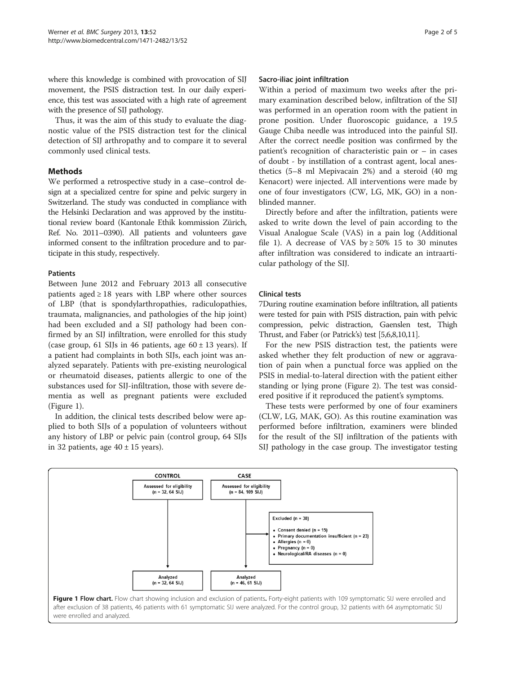where this knowledge is combined with provocation of SIJ movement, the PSIS distraction test. In our daily experience, this test was associated with a high rate of agreement with the presence of SIJ pathology.

Thus, it was the aim of this study to evaluate the diagnostic value of the PSIS distraction test for the clinical detection of SIJ arthropathy and to compare it to several commonly used clinical tests.

## Methods

We performed a retrospective study in a case–control design at a specialized centre for spine and pelvic surgery in Switzerland. The study was conducted in compliance with the Helsinki Declaration and was approved by the institutional review board (Kantonale Ethik kommission Zürich, Ref. No. 2011–0390). All patients and volunteers gave informed consent to the infiltration procedure and to participate in this study, respectively.

## **Patients**

Between June 2012 and February 2013 all consecutive patients aged  $\geq 18$  years with LBP where other sources of LBP (that is spondylarthropathies, radiculopathies, traumata, malignancies, and pathologies of the hip joint) had been excluded and a SIJ pathology had been confirmed by an SIJ infiltration, were enrolled for this study (case group, 61 SIJs in 46 patients, age  $60 \pm 13$  years). If a patient had complaints in both SIJs, each joint was analyzed separately. Patients with pre-existing neurological or rheumatoid diseases, patients allergic to one of the substances used for SIJ-infiltration, those with severe dementia as well as pregnant patients were excluded (Figure 1).

In addition, the clinical tests described below were applied to both SIJs of a population of volunteers without any history of LBP or pelvic pain (control group, 64 SIJs in 32 patients, age  $40 \pm 15$  years).

#### Sacro-iliac joint infiltration

Within a period of maximum two weeks after the primary examination described below, infiltration of the SIJ was performed in an operation room with the patient in prone position. Under fluoroscopic guidance, a 19.5 Gauge Chiba needle was introduced into the painful SIJ. After the correct needle position was confirmed by the patient's recognition of characteristic pain or – in cases of doubt - by instillation of a contrast agent, local anesthetics (5–8 ml Mepivacain 2%) and a steroid (40 mg Kenacort) were injected. All interventions were made by one of four investigators (CW, LG, MK, GO) in a nonblinded manner.

Directly before and after the infiltration, patients were asked to write down the level of pain according to the Visual Analogue Scale (VAS) in a pain log (Additional file [1\)](#page-3-0). A decrease of VAS by  $\geq 50\%$  15 to 30 minutes after infiltration was considered to indicate an intraarticular pathology of the SIJ.

## Clinical tests

7During routine examination before infiltration, all patients were tested for pain with PSIS distraction, pain with pelvic compression, pelvic distraction, Gaenslen test, Thigh Thrust, and Faber (or Patrick's) test [\[5,6,8](#page-3-0)[,10,11](#page-4-0)].

For the new PSIS distraction test, the patients were asked whether they felt production of new or aggravation of pain when a punctual force was applied on the PSIS in medial-to-lateral direction with the patient either standing or lying prone (Figure [2](#page-2-0)). The test was considered positive if it reproduced the patient's symptoms.

These tests were performed by one of four examiners (CLW, LG, MAK, GO). As this routine examination was performed before infiltration, examiners were blinded for the result of the SIJ infiltration of the patients with SIJ pathology in the case group. The investigator testing

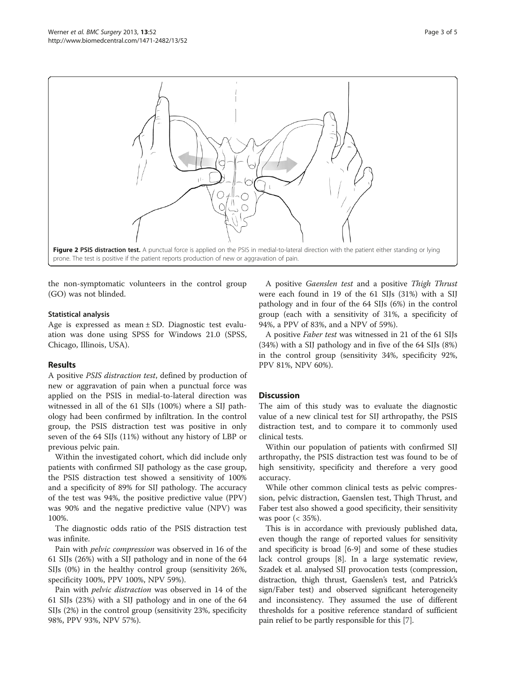<span id="page-2-0"></span>

the non-symptomatic volunteers in the control group (GO) was not blinded.

#### Statistical analysis

Age is expressed as mean ± SD. Diagnostic test evaluation was done using SPSS for Windows 21.0 (SPSS, Chicago, Illinois, USA).

## Results

A positive PSIS distraction test, defined by production of new or aggravation of pain when a punctual force was applied on the PSIS in medial-to-lateral direction was witnessed in all of the 61 SIJs (100%) where a SIJ pathology had been confirmed by infiltration. In the control group, the PSIS distraction test was positive in only seven of the 64 SIJs (11%) without any history of LBP or previous pelvic pain.

Within the investigated cohort, which did include only patients with confirmed SIJ pathology as the case group, the PSIS distraction test showed a sensitivity of 100% and a specificity of 89% for SIJ pathology. The accuracy of the test was 94%, the positive predictive value (PPV) was 90% and the negative predictive value (NPV) was 100%.

The diagnostic odds ratio of the PSIS distraction test was infinite.

Pain with pelvic compression was observed in 16 of the 61 SIJs (26%) with a SIJ pathology and in none of the 64 SIJs (0%) in the healthy control group (sensitivity 26%, specificity 100%, PPV 100%, NPV 59%).

Pain with pelvic distraction was observed in 14 of the 61 SIJs (23%) with a SIJ pathology and in one of the 64 SIJs (2%) in the control group (sensitivity 23%, specificity 98%, PPV 93%, NPV 57%).

A positive Gaenslen test and a positive Thigh Thrust were each found in 19 of the 61 SIJs (31%) with a SIJ pathology and in four of the 64 SIJs (6%) in the control group (each with a sensitivity of 31%, a specificity of 94%, a PPV of 83%, and a NPV of 59%).

A positive Faber test was witnessed in 21 of the 61 SIJs (34%) with a SIJ pathology and in five of the 64 SIJs (8%) in the control group (sensitivity 34%, specificity 92%, PPV 81%, NPV 60%).

## **Discussion**

The aim of this study was to evaluate the diagnostic value of a new clinical test for SIJ arthropathy, the PSIS distraction test, and to compare it to commonly used clinical tests.

Within our population of patients with confirmed SIJ arthropathy, the PSIS distraction test was found to be of high sensitivity, specificity and therefore a very good accuracy.

While other common clinical tests as pelvic compression, pelvic distraction, Gaenslen test, Thigh Thrust, and Faber test also showed a good specificity, their sensitivity was poor  $\left( < 35\% \right)$ .

This is in accordance with previously published data, even though the range of reported values for sensitivity and specificity is broad [[6](#page-3-0)[-9\]](#page-4-0) and some of these studies lack control groups [[8](#page-3-0)]. In a large systematic review, Szadek et al. analysed SIJ provocation tests (compression, distraction, thigh thrust, Gaenslen's test, and Patrick's sign/Faber test) and observed significant heterogeneity and inconsistency. They assumed the use of different thresholds for a positive reference standard of sufficient pain relief to be partly responsible for this [\[7](#page-3-0)].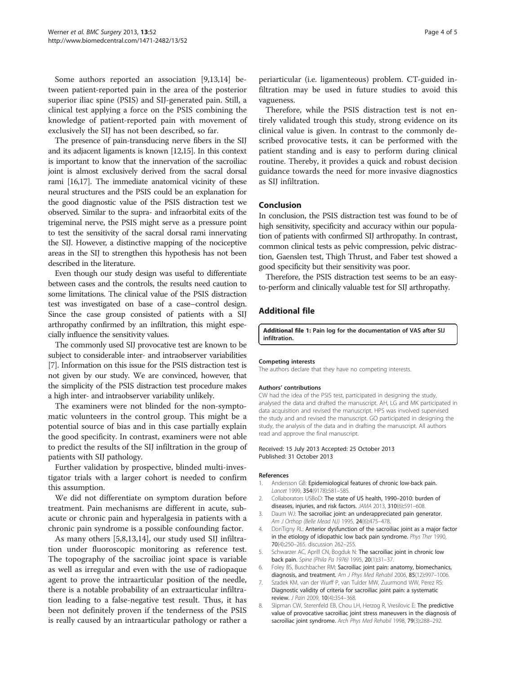<span id="page-3-0"></span>Some authors reported an association [[9,13,14](#page-4-0)] between patient-reported pain in the area of the posterior superior iliac spine (PSIS) and SIJ-generated pain. Still, a clinical test applying a force on the PSIS combining the knowledge of patient-reported pain with movement of exclusively the SIJ has not been described, so far.

The presence of pain-transducing nerve fibers in the SIJ and its adjacent ligaments is known [\[12,15\]](#page-4-0). In this context is important to know that the innervation of the sacroiliac joint is almost exclusively derived from the sacral dorsal rami [\[16,17](#page-4-0)]. The immediate anatomical vicinity of these neural structures and the PSIS could be an explanation for the good diagnostic value of the PSIS distraction test we observed. Similar to the supra- and infraorbital exits of the trigeminal nerve, the PSIS might serve as a pressure point to test the sensitivity of the sacral dorsal rami innervating the SIJ. However, a distinctive mapping of the nociceptive areas in the SIJ to strengthen this hypothesis has not been described in the literature.

Even though our study design was useful to differentiate between cases and the controls, the results need caution to some limitations. The clinical value of the PSIS distraction test was investigated on base of a case–control design. Since the case group consisted of patients with a SIJ arthropathy confirmed by an infiltration, this might especially influence the sensitivity values.

The commonly used SIJ provocative test are known to be subject to considerable inter- and intraobserver variabilities [7]. Information on this issue for the PSIS distraction test is not given by our study. We are convinced, however, that the simplicity of the PSIS distraction test procedure makes a high inter- and intraobserver variability unlikely.

The examiners were not blinded for the non-symptomatic volunteers in the control group. This might be a potential source of bias and in this case partially explain the good specificity. In contrast, examiners were not able to predict the results of the SIJ infiltration in the group of patients with SIJ pathology.

Further validation by prospective, blinded multi-investigator trials with a larger cohort is needed to confirm this assumption.

We did not differentiate on symptom duration before treatment. Pain mechanisms are different in acute, subacute or chronic pain and hyperalgesia in patients with a chronic pain syndrome is a possible confounding factor.

As many others [5,8[,13,14](#page-4-0)], our study used SIJ infiltration under fluoroscopic monitoring as reference test. The topography of the sacroiliac joint space is variable as well as irregular and even with the use of radiopaque agent to prove the intraarticular position of the needle, there is a notable probability of an extraarticular infiltration leading to a false-negative test result. Thus, it has been not definitely proven if the tenderness of the PSIS is really caused by an intraarticular pathology or rather a

periarticular (i.e. ligamenteous) problem. CT-guided infiltration may be used in future studies to avoid this vagueness.

Therefore, while the PSIS distraction test is not entirely validated trough this study, strong evidence on its clinical value is given. In contrast to the commonly described provocative tests, it can be performed with the patient standing and is easy to perform during clinical routine. Thereby, it provides a quick and robust decision guidance towards the need for more invasive diagnostics as SIJ infiltration.

#### Conclusion

In conclusion, the PSIS distraction test was found to be of high sensitivity, specificity and accuracy within our population of patients with confirmed SIJ arthropathy. In contrast, common clinical tests as pelvic compression, pelvic distraction, Gaenslen test, Thigh Thrust, and Faber test showed a good specificity but their sensitivity was poor.

Therefore, the PSIS distraction test seems to be an easyto-perform and clinically valuable test for SIJ arthropathy.

## Additional file

[Additional file 1:](http://www.biomedcentral.com/content/supplementary/1471-2482-13-52-S1.pdf) Pain log for the documentation of VAS after SIJ infiltration.

#### Competing interests

The authors declare that they have no competing interests.

#### Authors' contributions

CW had the idea of the PSIS test, participated in designing the study, analysed the data and drafted the manuscript. AH, LG and MK participated in data acquisition and revised the manuscript. HPS was involved supervised the study and and revised the manuscript. GO participated in designing the study, the analysis of the data and in drafting the manuscript. All authors read and approve the final manuscript.

#### Received: 15 July 2013 Accepted: 25 October 2013 Published: 31 October 2013

#### References

- Andersson GB: Epidemiological features of chronic low-back pain. Lancet 1999, 354(9178):581–585.
- 2. Collaborators USBoD: The state of US health, 1990–2010: burden of diseases, injuries, and risk factors. JAMA 2013, 310(6):591–608.
- 3. Daum WJ: The sacroiliac joint: an underappreciated pain generator. Am J Orthop (Belle Mead NJ) 1995, 24(6):475–478.
- 4. DonTigny RL: Anterior dysfunction of the sacroiliac joint as a major factor in the etiology of idiopathic low back pain syndrome. Phys Ther 1990, 70(4):250–265. discussion 262–255.
- 5. Schwarzer AC, Aprill CN, Bogduk N: The sacroiliac joint in chronic low back pain. Spine (Phila Pa 1976) 1995, 20(1):31–37.
- 6. Foley BS, Buschbacher RM: Sacroiliac joint pain: anatomy, biomechanics, diagnosis, and treatment. Am J Phys Med Rehabil 2006, 85(12):997–1006.
- 7. Szadek KM, van der Wurff P, van Tulder MW, Zuurmond WW, Perez RS: Diagnostic validity of criteria for sacroiliac joint pain: a systematic review. J Pain 2009, 10(4):354–368.
- 8. Slipman CW, Sterenfeld EB, Chou LH, Herzog R, Vresilovic E: The predictive value of provocative sacroiliac joint stress maneuvers in the diagnosis of sacroiliac joint syndrome. Arch Phys Med Rehabil 1998, 79(3):288-292.